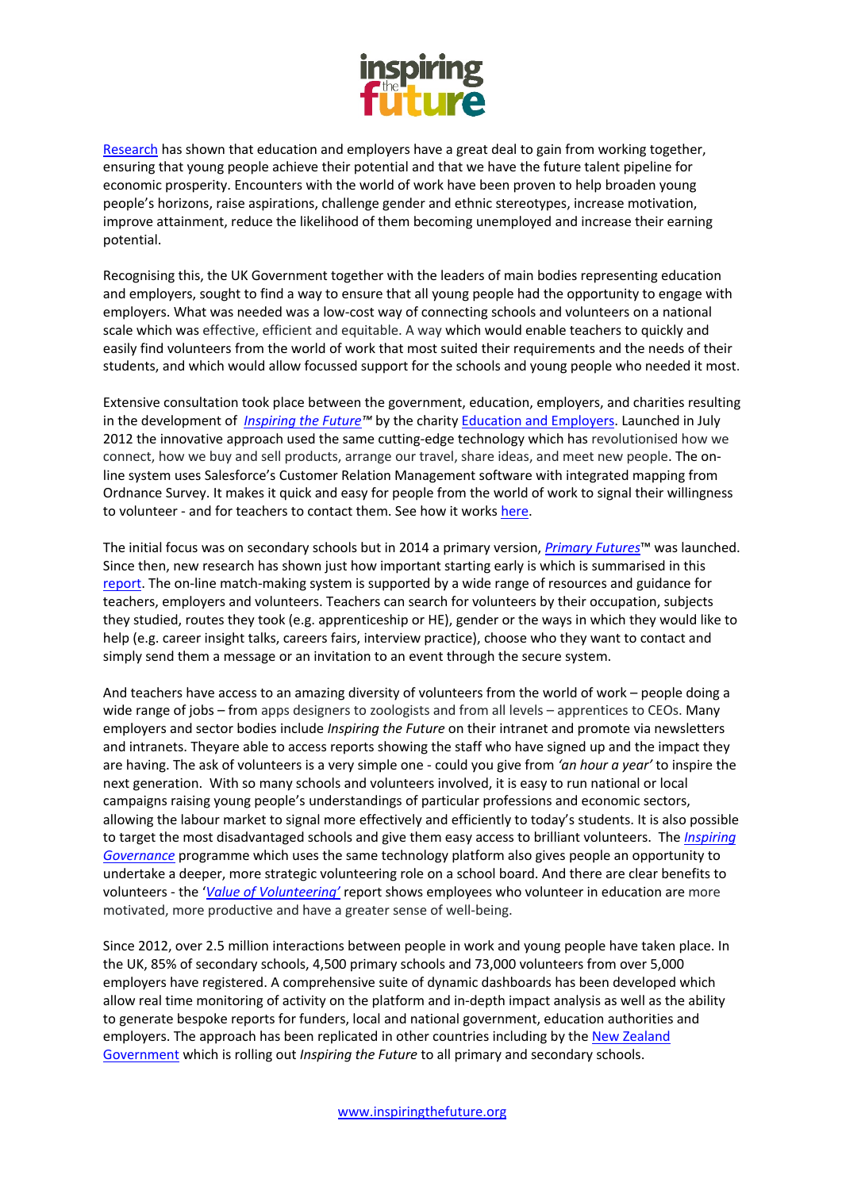

Research has shown that education and employers have a great deal to gain from working together, ensuring that young people achieve their potential and that we have the future talent pipeline for economic prosperity. Encounters with the world of work have been proven to help broaden young people's horizons, raise aspirations, challenge gender and ethnic stereotypes, increase motivation, improve attainment, reduce the likelihood of them becoming unemployed and increase their earning potential.

Recognising this, the UK Government together with the leaders of main bodies representing education and employers, sought to find a way to ensure that all young people had the opportunity to engage with employers. What was needed was a low-cost way of connecting schools and volunteers on a national scale which was effective, efficient and equitable. A way which would enable teachers to quickly and easily find volunteers from the world of work that most suited their requirements and the needs of their students, and which would allow focussed support for the schools and young people who needed it most.

Extensive consultation took place between the government, education, employers, and charities resulting in the development of *Inspiring the Future™* by the charity Education and Employers. Launched in July 2012 the innovative approach used the same cutting-edge technology which has revolutionised how we connect, how we buy and sell products, arrange our travel, share ideas, and meet new people. The online system uses Salesforce's Customer Relation Management software with integrated mapping from Ordnance Survey. It makes it quick and easy for people from the world of work to signal their willingness to volunteer - and for teachers to contact them. See how it works here.

The initial focus was on secondary schools but in 2014 a primary version, *Primary Futures*™ was launched. Since then, new research has shown just how important starting early is which is summarised in this report. The on-line match-making system is supported by a wide range of resources and guidance for teachers, employers and volunteers. Teachers can search for volunteers by their occupation, subjects they studied, routes they took (e.g. apprenticeship or HE), gender or the ways in which they would like to help (e.g. career insight talks, careers fairs, interview practice), choose who they want to contact and simply send them a message or an invitation to an event through the secure system.

And teachers have access to an amazing diversity of volunteers from the world of work – people doing a wide range of jobs – from apps designers to zoologists and from all levels – apprentices to CEOs. Many employers and sector bodies include *Inspiring the Future* on their intranet and promote via newsletters and intranets. Theyare able to access reports showing the staff who have signed up and the impact they are having. The ask of volunteers is a very simple one - could you give from *'an hour a year'* to inspire the next generation. With so many schools and volunteers involved, it is easy to run national or local campaigns raising young people's understandings of particular professions and economic sectors, allowing the labour market to signal more effectively and efficiently to today's students. It is also possible to target the most disadvantaged schools and give them easy access to brilliant volunteers. The *Inspiring Governance* programme which uses the same technology platform also gives people an opportunity to undertake a deeper, more strategic volunteering role on a school board. And there are clear benefits to volunteers - the '*Value of Volunteering'* report shows employees who volunteer in education are more motivated, more productive and have a greater sense of well-being.

Since 2012, over 2.5 million interactions between people in work and young people have taken place. In the UK, 85% of secondary schools, 4,500 primary schools and 73,000 volunteers from over 5,000 employers have registered. A comprehensive suite of dynamic dashboards has been developed which allow real time monitoring of activity on the platform and in-depth impact analysis as well as the ability to generate bespoke reports for funders, local and national government, education authorities and employers. The approach has been replicated in other countries including by the New Zealand Government which is rolling out *Inspiring the Future* to all primary and secondary schools.